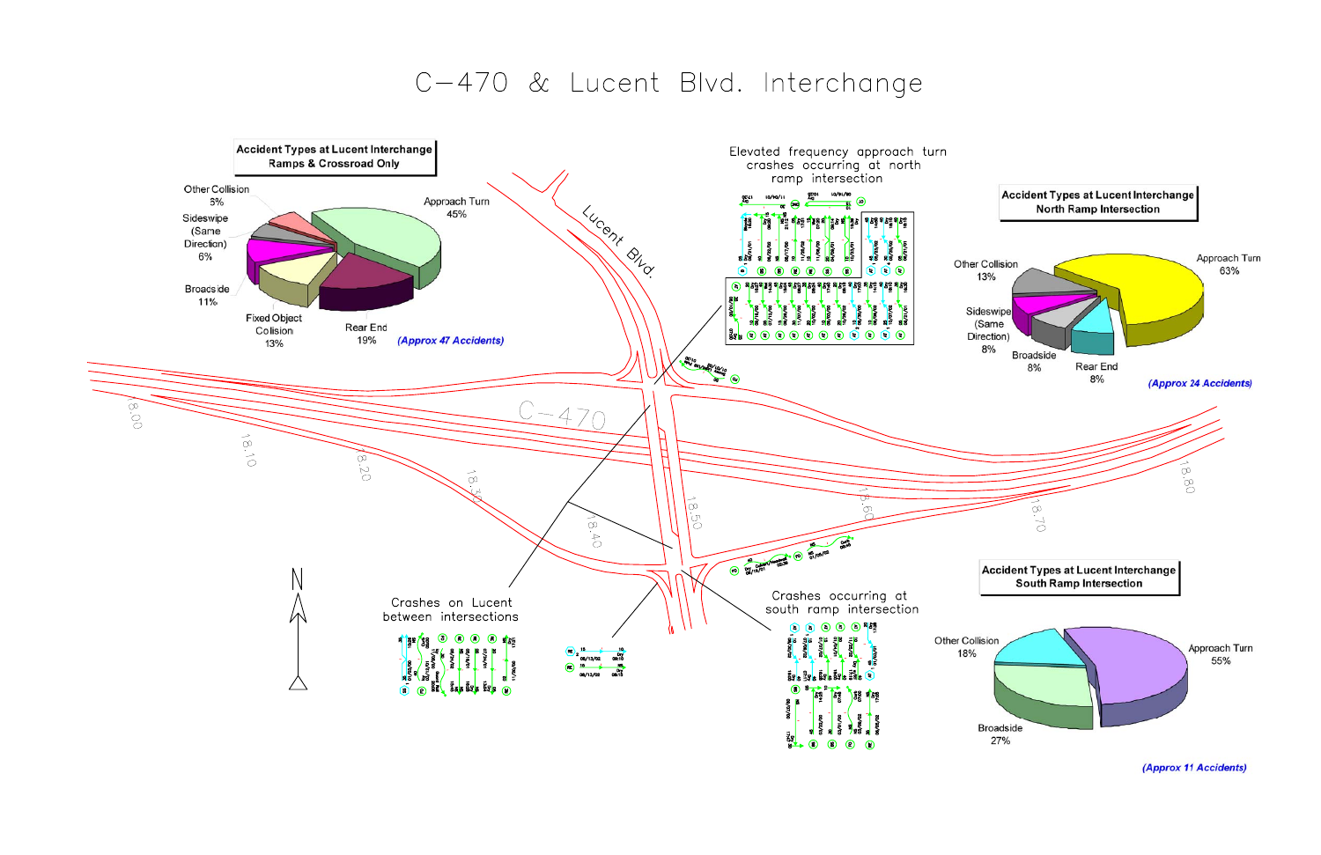## C-470 & Lucent Blvd. Interchange

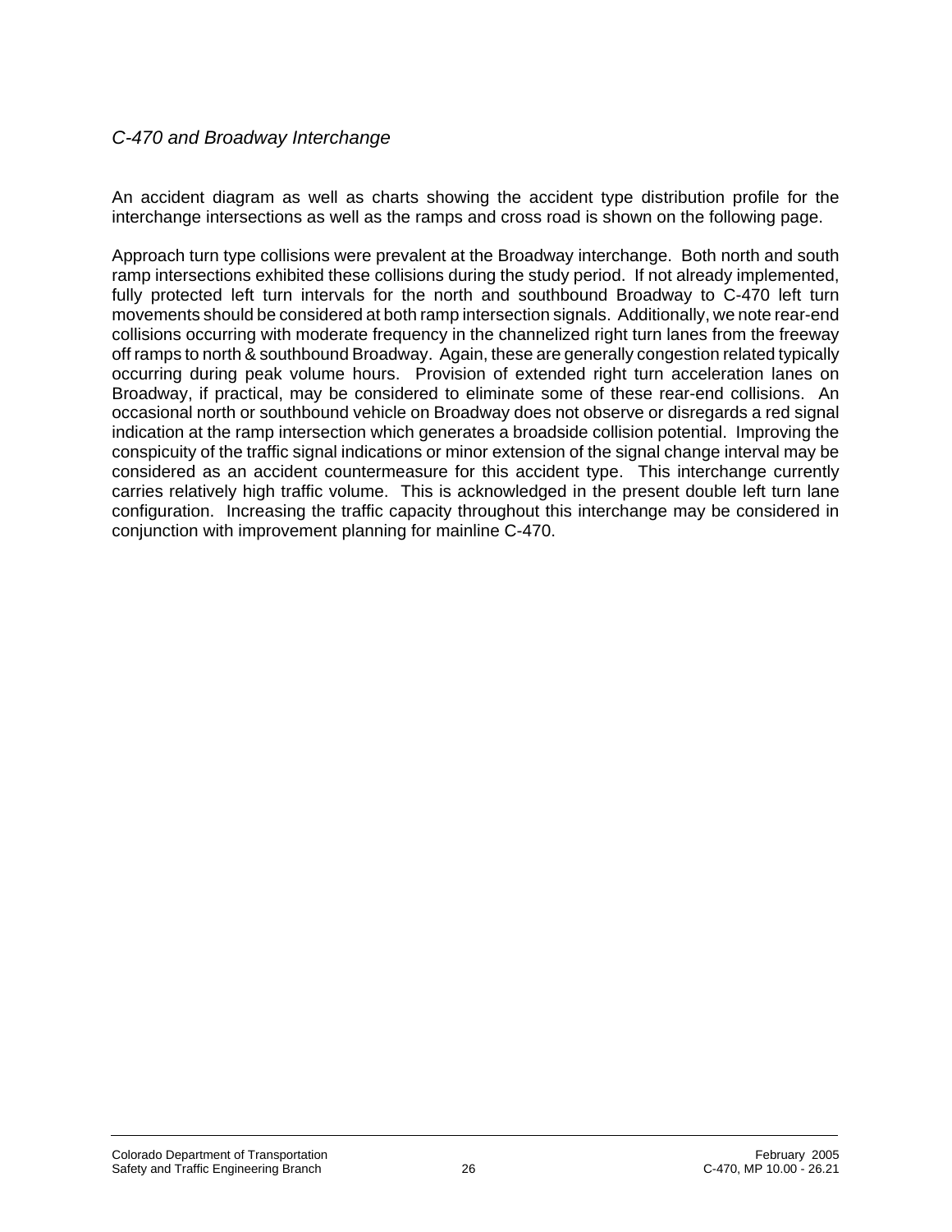## *C-470 and Broadway Interchange*

An accident diagram as well as charts showing the accident type distribution profile for the interchange intersections as well as the ramps and cross road is shown on the following page.

Approach turn type collisions were prevalent at the Broadway interchange. Both north and south ramp intersections exhibited these collisions during the study period. If not already implemented, fully protected left turn intervals for the north and southbound Broadway to C-470 left turn movements should be considered at both ramp intersection signals. Additionally, we note rear-end collisions occurring with moderate frequency in the channelized right turn lanes from the freeway off ramps to north & southbound Broadway. Again, these are generally congestion related typically occurring during peak volume hours. Provision of extended right turn acceleration lanes on Broadway, if practical, may be considered to eliminate some of these rear-end collisions. An occasional north or southbound vehicle on Broadway does not observe or disregards a red signal indication at the ramp intersection which generates a broadside collision potential. Improving the conspicuity of the traffic signal indications or minor extension of the signal change interval may be considered as an accident countermeasure for this accident type. This interchange currently carries relatively high traffic volume. This is acknowledged in the present double left turn lane configuration. Increasing the traffic capacity throughout this interchange may be considered in conjunction with improvement planning for mainline C-470.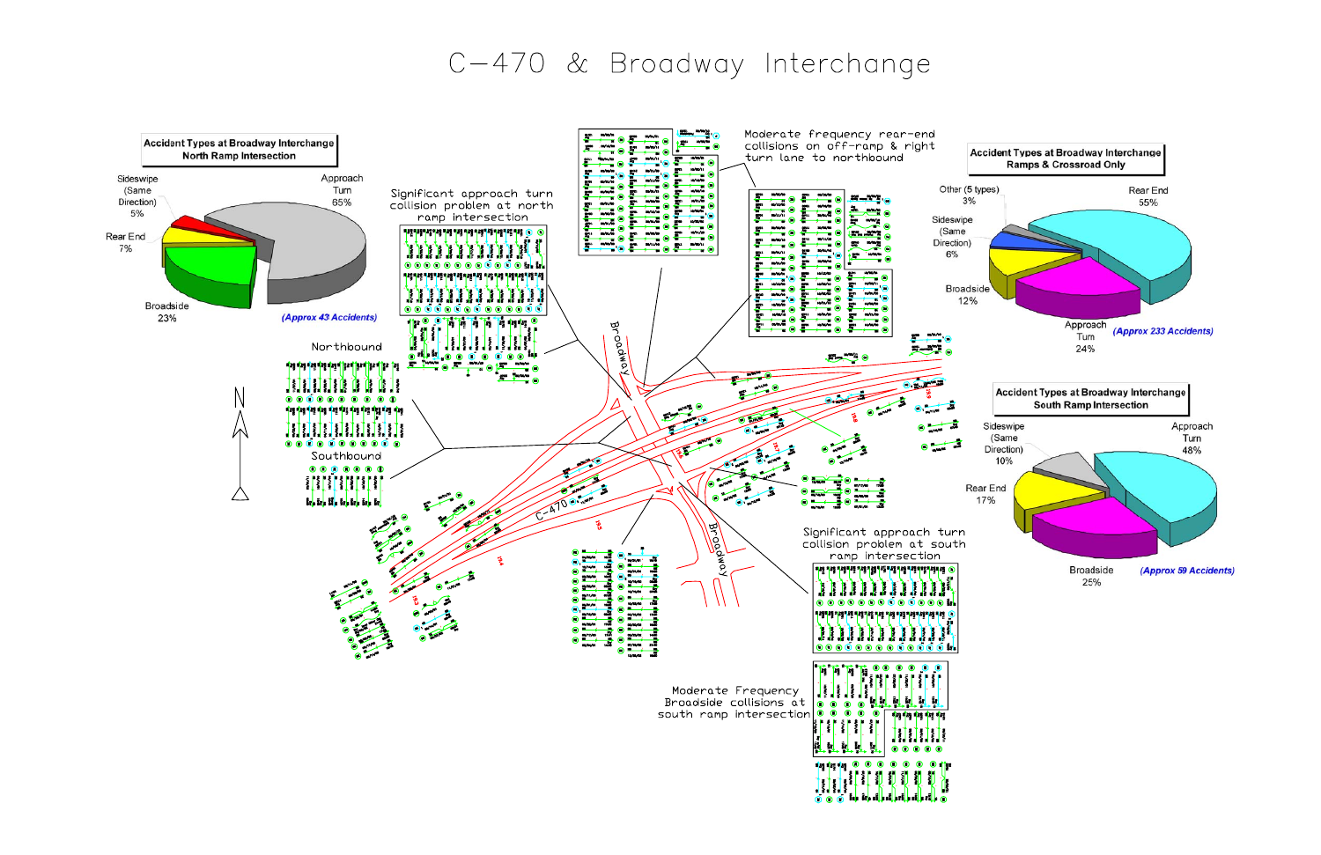## C-470 & Broadway Interchange